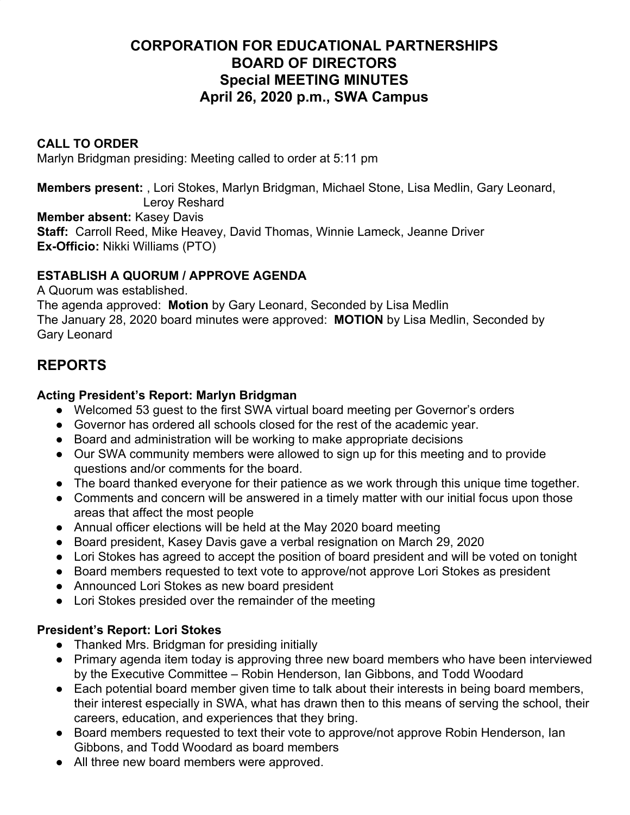# **CORPORATION FOR EDUCATIONAL PARTNERSHIPS BOARD OF DIRECTORS Special MEETING MINUTES April 26, 2020 p.m., SWA Campus**

## **CALL TO ORDER**

Marlyn Bridgman presiding: Meeting called to order at 5:11 pm

**Members present:** , Lori Stokes, Marlyn Bridgman, Michael Stone, Lisa Medlin, Gary Leonard, Leroy Reshard

**Member absent:** Kasey Davis

**Staff:** Carroll Reed, Mike Heavey, David Thomas, Winnie Lameck, Jeanne Driver **Ex-Officio:** Nikki Williams (PTO)

# **ESTABLISH A QUORUM / APPROVE AGENDA**

A Quorum was established. The agenda approved: **Motion** by Gary Leonard, Seconded by Lisa Medlin The January 28, 2020 board minutes were approved: **MOTION** by Lisa Medlin, Seconded by Gary Leonard

# **REPORTS**

## **Acting President's Report: Marlyn Bridgman**

- Welcomed 53 guest to the first SWA virtual board meeting per Governor's orders
- Governor has ordered all schools closed for the rest of the academic year.
- Board and administration will be working to make appropriate decisions
- Our SWA community members were allowed to sign up for this meeting and to provide questions and/or comments for the board.
- The board thanked everyone for their patience as we work through this unique time together.
- Comments and concern will be answered in a timely matter with our initial focus upon those areas that affect the most people
- Annual officer elections will be held at the May 2020 board meeting
- Board president, Kasey Davis gave a verbal resignation on March 29, 2020
- Lori Stokes has agreed to accept the position of board president and will be voted on tonight
- Board members requested to text vote to approve/not approve Lori Stokes as president
- Announced Lori Stokes as new board president
- Lori Stokes presided over the remainder of the meeting

# **President's Report: Lori Stokes**

- Thanked Mrs. Bridgman for presiding initially
- Primary agenda item today is approving three new board members who have been interviewed by the Executive Committee – Robin Henderson, Ian Gibbons, and Todd Woodard
- Each potential board member given time to talk about their interests in being board members, their interest especially in SWA, what has drawn then to this means of serving the school, their careers, education, and experiences that they bring.
- Board members requested to text their vote to approve/not approve Robin Henderson, Ian Gibbons, and Todd Woodard as board members
- All three new board members were approved.